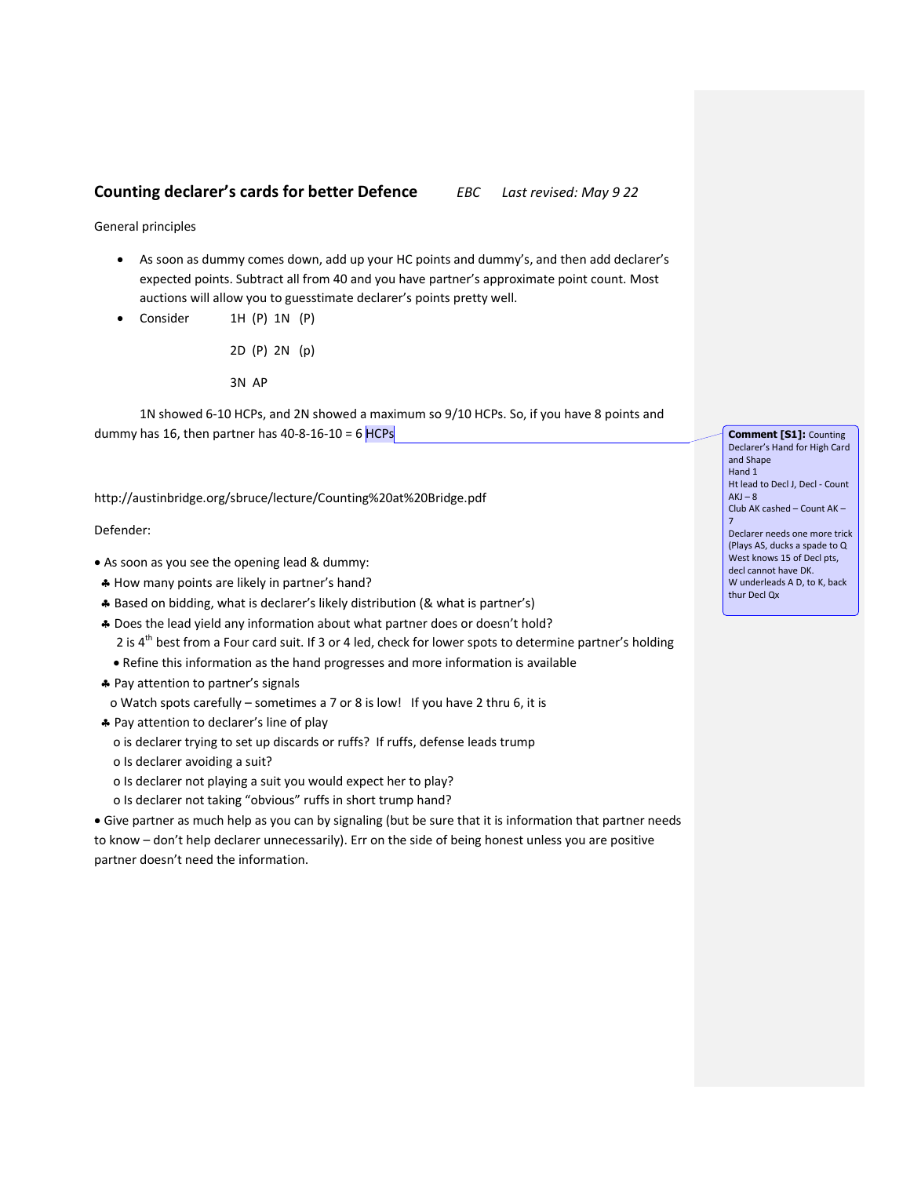## **Counting declarer's cards for better Defence** *EBC Last revised: May 9 22*

General principles

- As soon as dummy comes down, add up your HC points and dummy's, and then add declarer's expected points. Subtract all from 40 and you have partner's approximate point count. Most auctions will allow you to guesstimate declarer's points pretty well.
- Consider 1H (P) 1N (P)

2D (P) 2N (p) 3N AP

1N showed 6-10 HCPs, and 2N showed a maximum so 9/10 HCPs. So, if you have 8 points and dummy has 16, then partner has  $40-8-16-10 = 6$  HCPs

http://austinbridge.org/sbruce/lecture/Counting%20at%20Bridge.pdf

## Defender:

- As soon as you see the opening lead & dummy:
- How many points are likely in partner's hand?
- Based on bidding, what is declarer's likely distribution (& what is partner's)
- Does the lead yield any information about what partner does or doesn't hold?
	- 2 is 4<sup>th</sup> best from a Four card suit. If 3 or 4 led, check for lower spots to determine partner's holding
	- Refine this information as the hand progresses and more information is available
- \* Pay attention to partner's signals
- o Watch spots carefully sometimes a 7 or 8 is low! If you have 2 thru 6, it is
- \* Pay attention to declarer's line of play
	- o is declarer trying to set up discards or ruffs? If ruffs, defense leads trump
	- o Is declarer avoiding a suit?
	- o Is declarer not playing a suit you would expect her to play?
	- o Is declarer not taking "obvious" ruffs in short trump hand?

 Give partner as much help as you can by signaling (but be sure that it is information that partner needs to know – don't help declarer unnecessarily). Err on the side of being honest unless you are positive partner doesn't need the information.

**Comment [S1]:** Counting Declarer's Hand for High Card and Shape Hand 1 Ht lead to Decl J, Decl - Count  $AKJ - 8$ Club AK cashed – Count AK – 7 Declarer needs one more trick (Plays AS, ducks a spade to Q West knows 15 of Decl pts, decl cannot have DK. W underleads A D, to K, back thur Decl Qx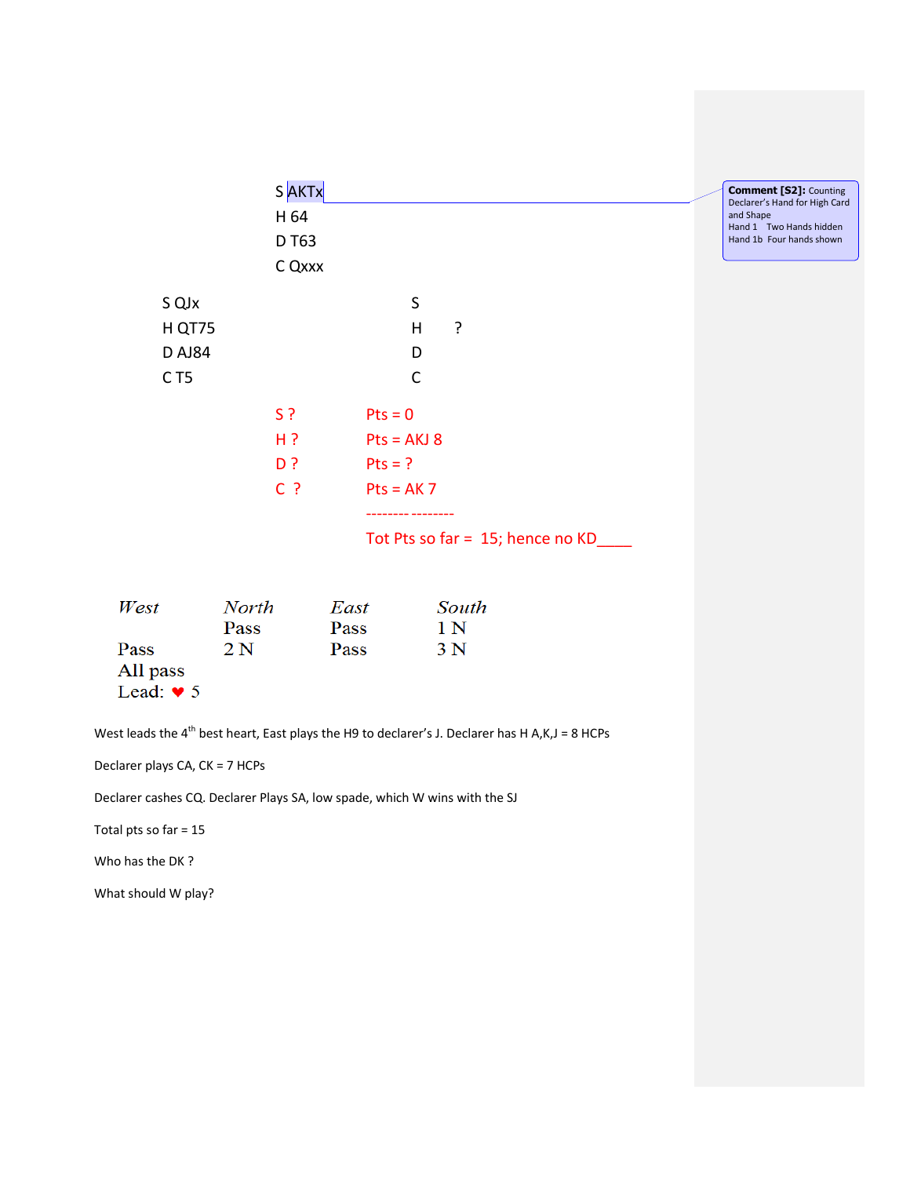|                 | S AKTx        |              |               |                                  | <b>Comment [S2]: Counting</b><br>Declarer's Hand for High Card |
|-----------------|---------------|--------------|---------------|----------------------------------|----------------------------------------------------------------|
|                 | H 64          |              |               |                                  | and Shape<br>Hand 1 Two Hands hidden                           |
|                 | D T63         |              |               |                                  | Hand 1b Four hands shown                                       |
|                 | C Qxxx        |              |               |                                  |                                                                |
| S QJx           |               |              | $\sf S$       |                                  |                                                                |
| H QT75          |               |              | H             | ?                                |                                                                |
| <b>DAJ84</b>    |               |              | D             |                                  |                                                                |
| C <sub>T5</sub> |               |              | $\mathsf C$   |                                  |                                                                |
|                 | $S$ ?         | $Pts = 0$    |               |                                  |                                                                |
|                 | $H$ ?         |              | $Pts = AKJ 8$ |                                  |                                                                |
|                 | D?            | $Pts = ?$    |               |                                  |                                                                |
|                 | $C$ ?         |              | $Pts = AK7$   |                                  |                                                                |
|                 |               |              |               | Tot Pts so far = 15; hence no KD |                                                                |
| West            | North<br>Pass | East<br>Pass |               | South<br>1 N                     |                                                                |

| All pass |  |
|----------|--|
| Lead: '  |  |

Pass

West leads the  $4^{\text{th}}$  best heart, East plays the H9 to declarer's J. Declarer has H A,K,J = 8 HCPs

Pass 3 N

Declarer plays CA, CK = 7 HCPs

Declarer cashes CQ. Declarer Plays SA, low spade, which W wins with the SJ

 $2N$ 

Total pts so far = 15

Who has the DK ?

What should W play?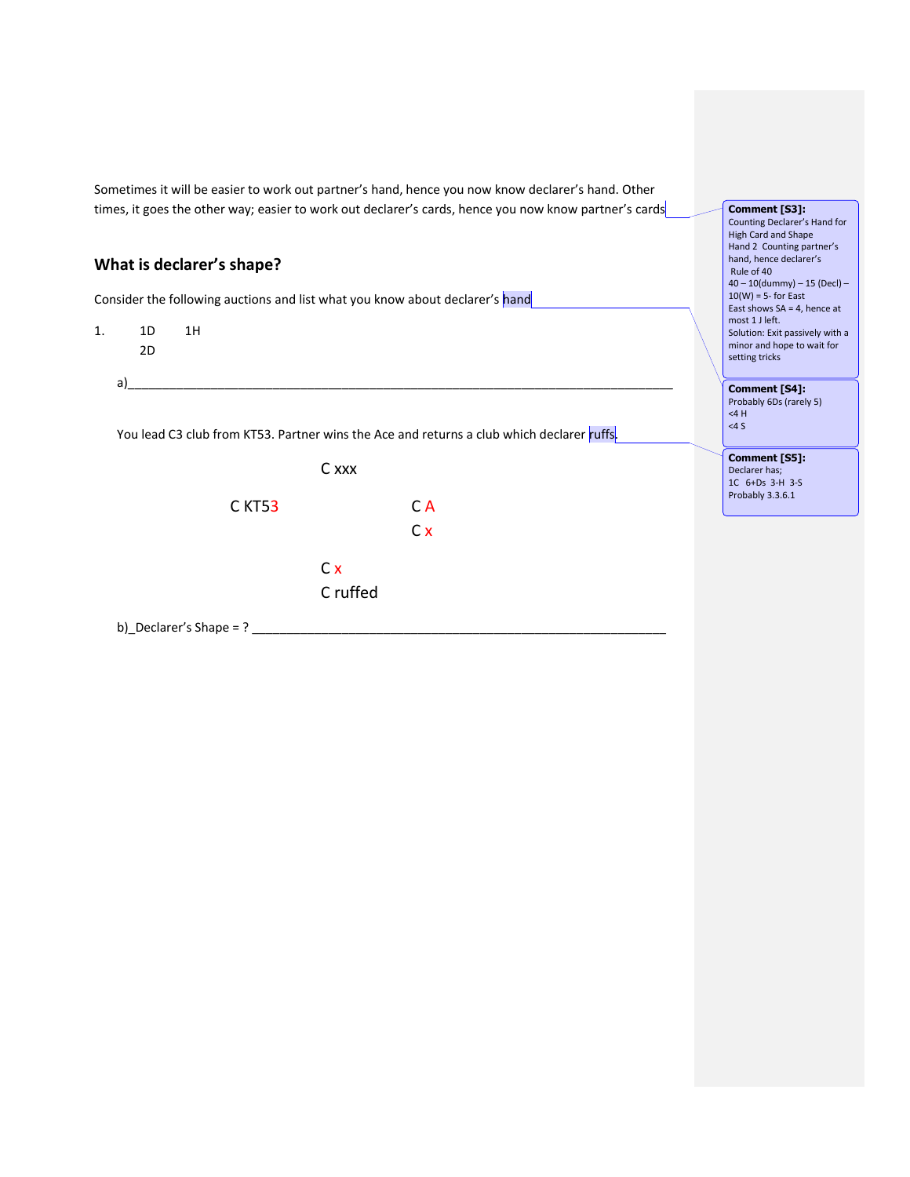Sometimes it will be easier to work out partner's hand, hence you now know declarer's hand. Other times, it goes the other way; easier to work out declarer's cards, hence you now know partner's cards

## **What is declarer's shape?**

Consider the following auctions and list what you know about declarer's hand

- 1. 1D 1H 2D
	-

You lead C3 club from KT53. Partner wins the Ace and returns a club which declarer ruffs.

a)\_\_\_\_\_\_\_\_\_\_\_\_\_\_\_\_\_\_\_\_\_\_\_\_\_\_\_\_\_\_\_\_\_\_\_\_\_\_\_\_\_\_\_\_\_\_\_\_\_\_\_\_\_\_\_\_\_\_\_\_\_\_\_\_\_\_\_\_\_\_\_\_\_\_\_\_\_\_\_



b)\_Declarer's Shape = ?  $\frac{1}{2}$ 

**Comment [S3]:**  Counting Declarer's Hand for High Card and Shape Hand 2 Counting partner's hand, hence declarer's Rule of 40 40 – 10(dummy) – 15 (Decl) –  $10(W) = 5$ - for East East shows SA = 4, hence at most 1 J left. Solution: Exit passively with a minor and hope to wait for setting tricks

**Comment [S4]:**  Probably 6Ds (rarely 5) <4 H <4 S

**Comment [S5]:**  Declarer has; 1C 6+Ds 3-H 3-S Probably 3.3.6.1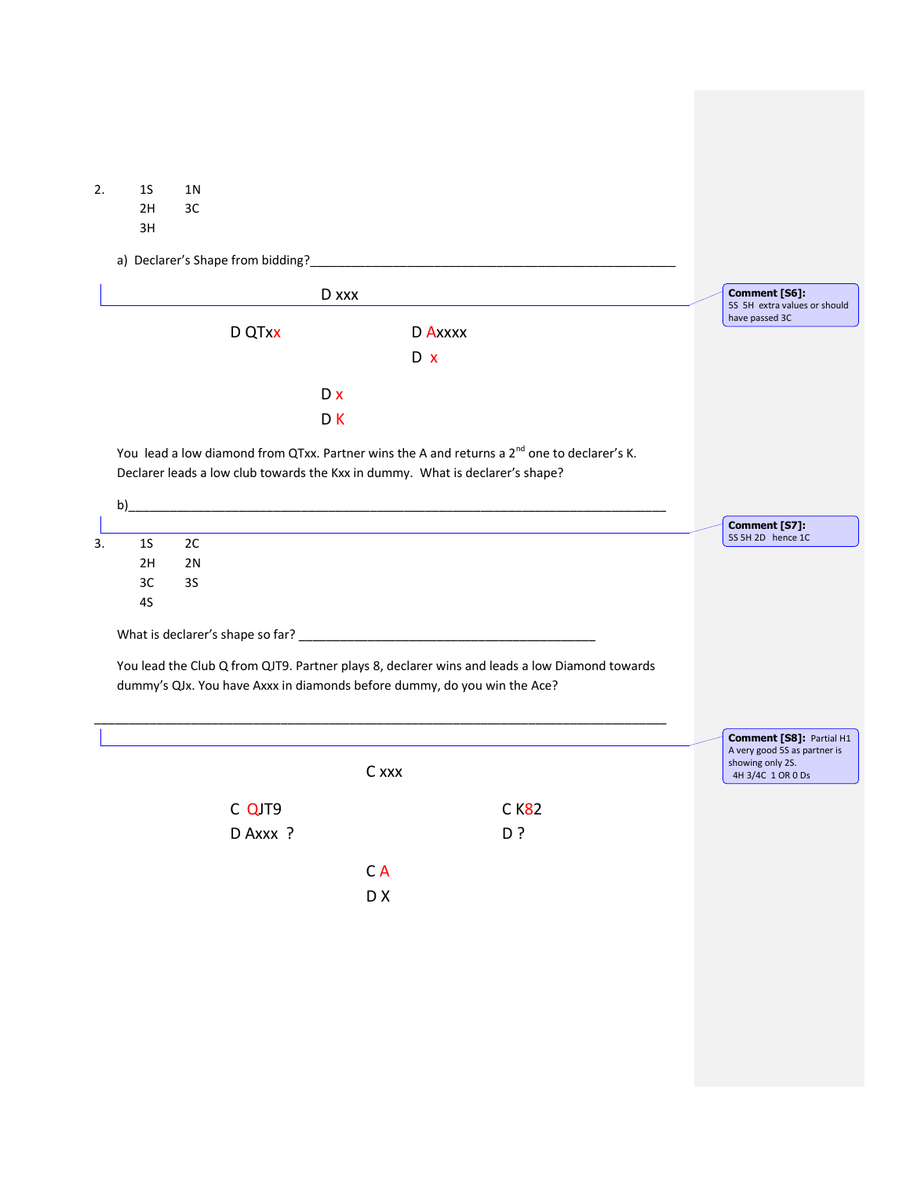2. 1S 1N 2H 3C 3H a) Declarer's Shape from bidding?\_\_\_\_\_\_\_\_\_\_\_\_\_\_\_\_\_\_\_\_\_\_\_\_\_\_\_\_\_\_\_\_\_\_\_\_\_\_\_\_\_\_\_\_\_\_\_\_\_\_\_\_\_ D xxx D QTxx D Axxxx D x D x D K You lead a low diamond from QTxx. Partner wins the A and returns a 2<sup>nd</sup> one to declarer's K. Declarer leads a low club towards the Kxx in dummy. What is declarer's shape? b)\_\_\_\_\_\_\_\_\_\_\_\_\_\_\_\_\_\_\_\_\_\_\_\_\_\_\_\_\_\_\_\_\_\_\_\_\_\_\_\_\_\_\_\_\_\_\_\_\_\_\_\_\_\_\_\_\_\_\_\_\_\_\_\_\_\_\_\_\_\_\_\_\_\_\_\_\_\_ 3. 1S 2C 2H 2N 3C 3S 4S What is declarer's shape so far? \_\_\_\_\_\_\_\_\_\_\_\_\_\_\_\_\_\_\_\_\_\_\_\_\_\_\_\_\_\_\_\_\_\_\_\_\_\_\_\_\_\_\_ You lead the Club Q from QJT9. Partner plays 8, declarer wins and leads a low Diamond towards dummy's QJx. You have Axxx in diamonds before dummy, do you win the Ace? \_\_\_\_\_\_\_\_\_\_\_\_\_\_\_\_\_\_\_\_\_\_\_\_\_\_\_\_\_\_\_\_\_\_\_\_\_\_\_\_\_\_\_\_\_\_\_\_\_\_\_\_\_\_\_\_\_\_\_\_\_\_\_\_\_\_\_\_\_\_\_\_\_\_\_\_\_\_\_\_\_\_\_ C xxx C QJT9 C K82 D Axxx ? C A D X **Comment [S6]:**  5S 5H extra values or should have passed 3C **Comment [S7]:**  5S 5H 2D hence 1C **Comment [S8]:** Partial H1 A very good 5S as partner is showing only 2S. 4H 3/4C 1 OR 0 Ds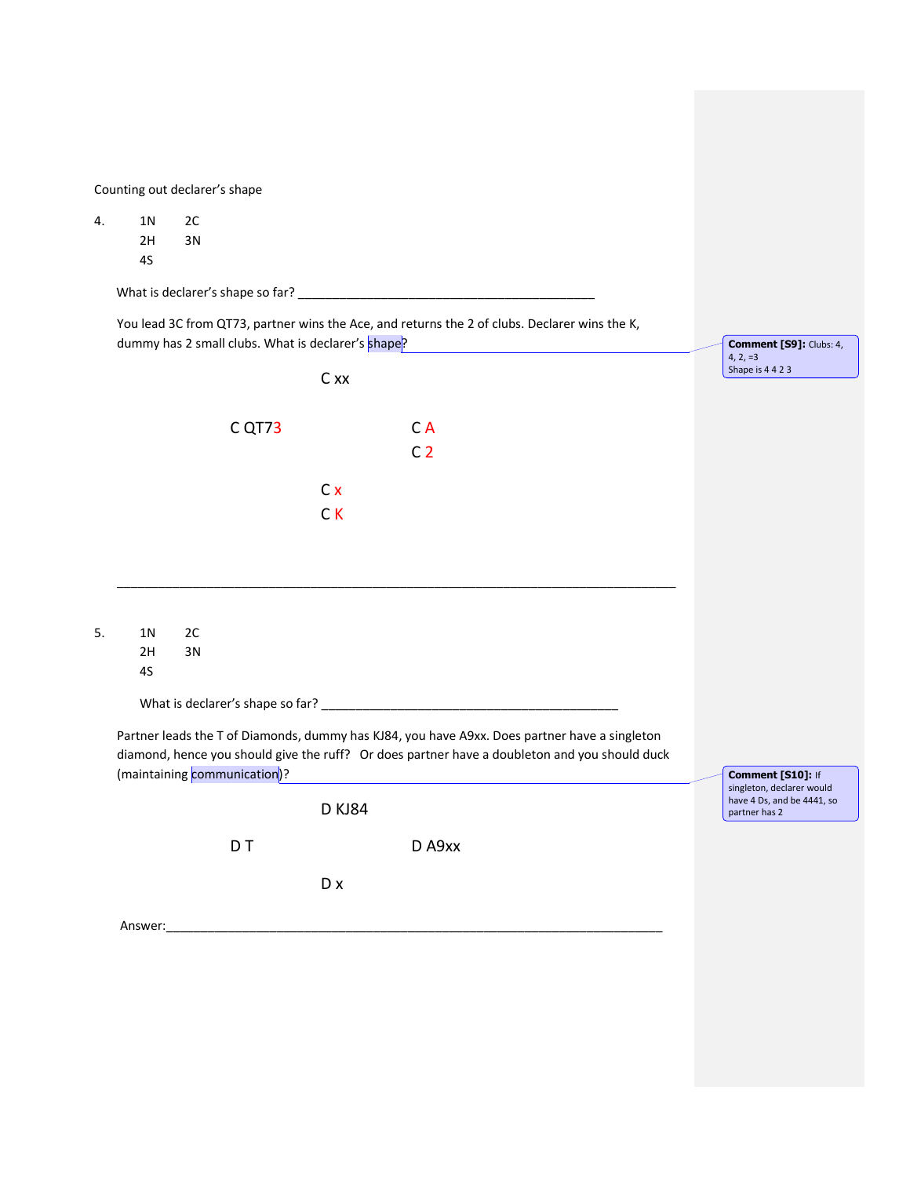|    | Counting out declarer's shape                                                                 |    |                              |                         |                                                                                               |  |                                                         |
|----|-----------------------------------------------------------------------------------------------|----|------------------------------|-------------------------|-----------------------------------------------------------------------------------------------|--|---------------------------------------------------------|
| 4. | 1 <sub>N</sub>                                                                                | 2C |                              |                         |                                                                                               |  |                                                         |
|    | 2H<br>4S                                                                                      | 3N |                              |                         |                                                                                               |  |                                                         |
|    |                                                                                               |    |                              |                         |                                                                                               |  |                                                         |
|    |                                                                                               |    |                              |                         | You lead 3C from QT73, partner wins the Ace, and returns the 2 of clubs. Declarer wins the K, |  |                                                         |
|    | dummy has 2 small clubs. What is declarer's shape?                                            |    |                              | Comment [S9]: Clubs: 4, |                                                                                               |  |                                                         |
|    |                                                                                               |    |                              | C xx                    |                                                                                               |  | $4, 2, =3$<br>Shape is 4423                             |
|    |                                                                                               |    |                              |                         |                                                                                               |  |                                                         |
|    |                                                                                               |    | C QT73                       |                         | CA                                                                                            |  |                                                         |
|    |                                                                                               |    |                              |                         | C <sub>2</sub>                                                                                |  |                                                         |
|    |                                                                                               |    |                              | Cx                      |                                                                                               |  |                                                         |
|    |                                                                                               |    |                              | CK                      |                                                                                               |  |                                                         |
|    |                                                                                               |    |                              |                         |                                                                                               |  |                                                         |
|    |                                                                                               |    |                              |                         |                                                                                               |  |                                                         |
|    |                                                                                               |    |                              |                         |                                                                                               |  |                                                         |
| 5. | 1 N                                                                                           | 2C |                              |                         |                                                                                               |  |                                                         |
|    | 2H                                                                                            | 3N |                              |                         |                                                                                               |  |                                                         |
|    | 4S                                                                                            |    |                              |                         |                                                                                               |  |                                                         |
|    |                                                                                               |    |                              |                         |                                                                                               |  |                                                         |
|    | Partner leads the T of Diamonds, dummy has KJ84, you have A9xx. Does partner have a singleton |    |                              |                         |                                                                                               |  |                                                         |
|    |                                                                                               |    | (maintaining communication)? |                         | diamond, hence you should give the ruff? Or does partner have a doubleton and you should duck |  | Comment [S10]: If                                       |
|    |                                                                                               |    |                              |                         |                                                                                               |  | singleton, declarer would<br>have 4 Ds, and be 4441, so |
|    |                                                                                               |    |                              | <b>D KJ84</b>           |                                                                                               |  | partner has 2                                           |
|    |                                                                                               |    | D <sub>T</sub>               |                         | D A9xx                                                                                        |  |                                                         |
|    |                                                                                               |    |                              | D x                     |                                                                                               |  |                                                         |
|    | Answer:                                                                                       |    |                              |                         |                                                                                               |  |                                                         |
|    |                                                                                               |    |                              |                         |                                                                                               |  |                                                         |